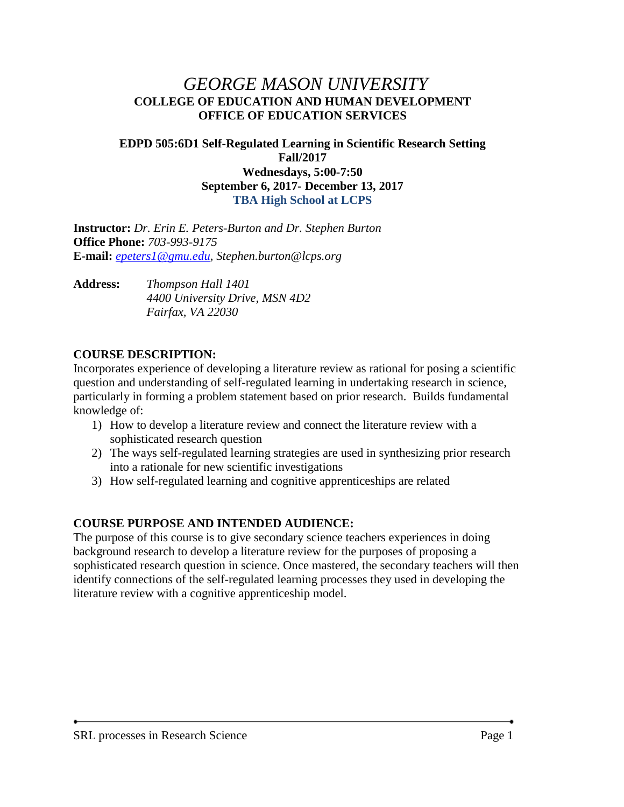# *GEORGE MASON UNIVERSITY* **COLLEGE OF EDUCATION AND HUMAN DEVELOPMENT OFFICE OF EDUCATION SERVICES**

#### **EDPD 505:6D1 Self-Regulated Learning in Scientific Research Setting Fall/2017 Wednesdays, 5:00-7:50 September 6, 2017- December 13, 2017 TBA High School at LCPS**

**Instructor:** *Dr. Erin E. Peters-Burton and Dr. Stephen Burton* **Office Phone:** *703-993-9175* **E-mail:** *[epeters1@gmu.edu,](mailto:epeters1@gmu.edu) Stephen.burton@lcps.org*

**Address:** *Thompson Hall 1401 4400 University Drive, MSN 4D2 Fairfax, VA 22030*

#### **COURSE DESCRIPTION:**

Incorporates experience of developing a literature review as rational for posing a scientific question and understanding of self-regulated learning in undertaking research in science, particularly in forming a problem statement based on prior research. Builds fundamental knowledge of:

- 1) How to develop a literature review and connect the literature review with a sophisticated research question
- 2) The ways self-regulated learning strategies are used in synthesizing prior research into a rationale for new scientific investigations
- 3) How self-regulated learning and cognitive apprenticeships are related

### **COURSE PURPOSE AND INTENDED AUDIENCE:**

The purpose of this course is to give secondary science teachers experiences in doing background research to develop a literature review for the purposes of proposing a sophisticated research question in science. Once mastered, the secondary teachers will then identify connections of the self-regulated learning processes they used in developing the literature review with a cognitive apprenticeship model.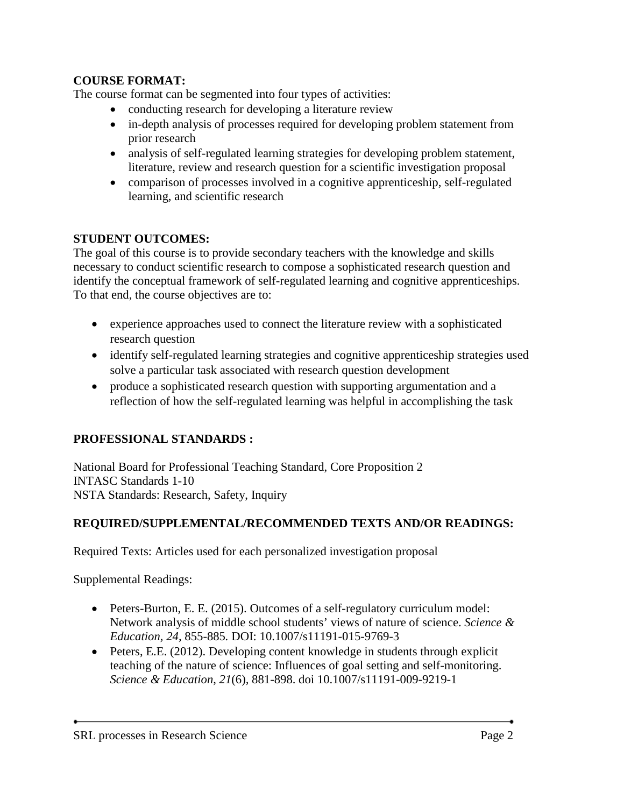### **COURSE FORMAT:**

The course format can be segmented into four types of activities:

- conducting research for developing a literature review
- in-depth analysis of processes required for developing problem statement from prior research
- analysis of self-regulated learning strategies for developing problem statement, literature, review and research question for a scientific investigation proposal
- comparison of processes involved in a cognitive apprenticeship, self-regulated learning, and scientific research

### **STUDENT OUTCOMES:**

The goal of this course is to provide secondary teachers with the knowledge and skills necessary to conduct scientific research to compose a sophisticated research question and identify the conceptual framework of self-regulated learning and cognitive apprenticeships. To that end, the course objectives are to:

- experience approaches used to connect the literature review with a sophisticated research question
- identify self-regulated learning strategies and cognitive apprenticeship strategies used solve a particular task associated with research question development
- produce a sophisticated research question with supporting argumentation and a reflection of how the self-regulated learning was helpful in accomplishing the task

# **PROFESSIONAL STANDARDS :**

National Board for Professional Teaching Standard, Core Proposition 2 INTASC Standards 1-10 NSTA Standards: Research, Safety, Inquiry

### **REQUIRED/SUPPLEMENTAL/RECOMMENDED TEXTS AND/OR READINGS:**

Required Texts: Articles used for each personalized investigation proposal

Supplemental Readings:

- Peters-Burton, E. E. (2015). Outcomes of a self-regulatory curriculum model: Network analysis of middle school students' views of nature of science. *Science & Education, 24,* 855-885*.* DOI: 10.1007/s11191-015-9769-3
- Peters, E.E. (2012). Developing content knowledge in students through explicit teaching of the nature of science: Influences of goal setting and self-monitoring. *Science & Education*, *21*(6)*,* 881-898. doi 10.1007/s11191-009-9219-1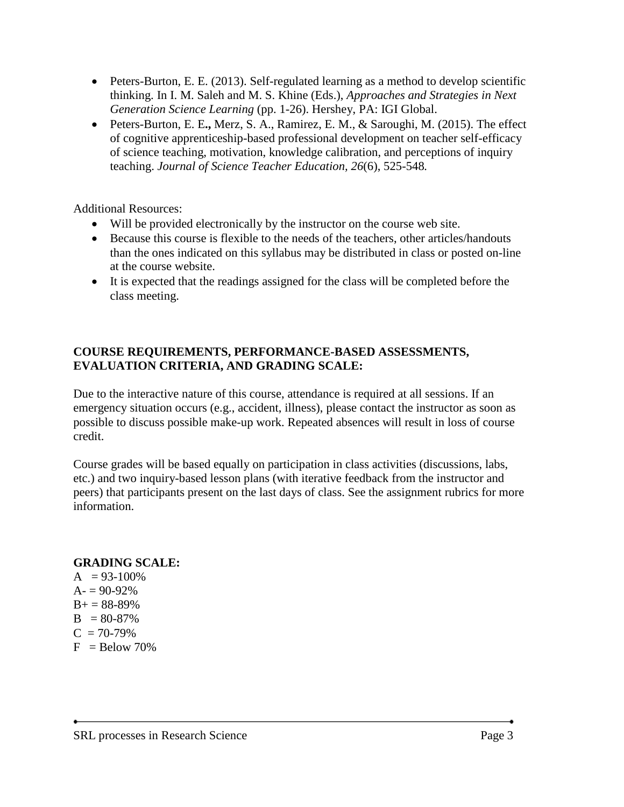- Peters-Burton, E. E. (2013). Self-regulated learning as a method to develop scientific thinking. In I. M. Saleh and M. S. Khine (Eds.), *Approaches and Strategies in Next Generation Science Learning* (pp. 1-26). Hershey, PA: IGI Global.
- Peters-Burton, E. E**.,** Merz, S. A., Ramirez, E. M., & Saroughi, M. (2015). The effect of cognitive apprenticeship-based professional development on teacher self-efficacy of science teaching, motivation, knowledge calibration, and perceptions of inquiry teaching. *Journal of Science Teacher Education, 26*(6), 525-548*.*

Additional Resources:

- Will be provided electronically by the instructor on the course web site.
- Because this course is flexible to the needs of the teachers, other articles/handouts than the ones indicated on this syllabus may be distributed in class or posted on-line at the course website.
- It is expected that the readings assigned for the class will be completed before the class meeting.

#### **COURSE REQUIREMENTS, PERFORMANCE-BASED ASSESSMENTS, EVALUATION CRITERIA, AND GRADING SCALE:**

Due to the interactive nature of this course, attendance is required at all sessions. If an emergency situation occurs (e.g., accident, illness), please contact the instructor as soon as possible to discuss possible make-up work. Repeated absences will result in loss of course credit.

Course grades will be based equally on participation in class activities (discussions, labs, etc.) and two inquiry-based lesson plans (with iterative feedback from the instructor and peers) that participants present on the last days of class. See the assignment rubrics for more information.

# **GRADING SCALE:**

 $A = 93-100\%$  $A = 90-92%$  $B+ = 88-89%$  $B = 80-87%$  $C = 70-79%$  $F =$ Below 70%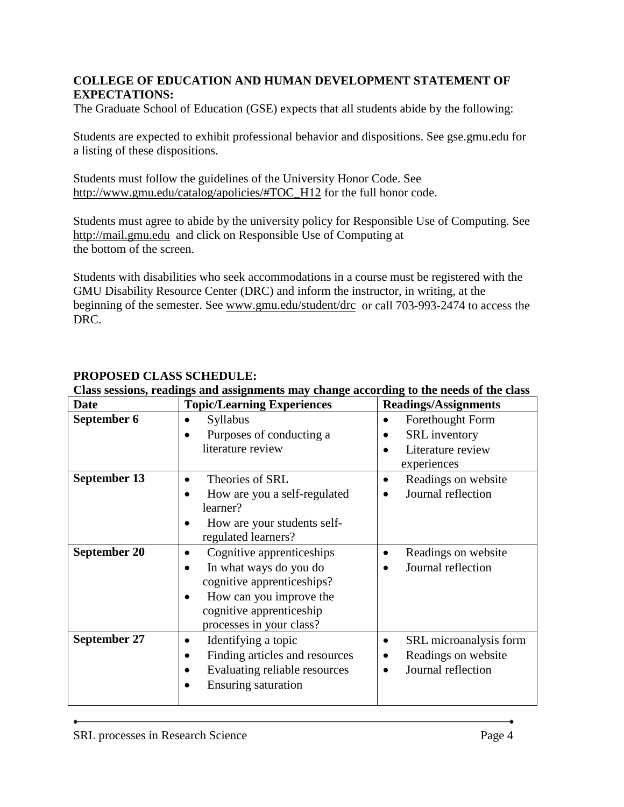### **COLLEGE OF EDUCATION AND HUMAN DEVELOPMENT STATEMENT OF EXPECTATIONS:**

The Graduate School of Education (GSE) expects that all students abide by the following:

Students are expected to exhibit professional behavior and dispositions. See gse.gmu.edu for a listing of these dispositions.

Students must follow the guidelines of the University Honor Code. See [http://www.gmu.edu/catalog/apolicies/#TOC\\_H12](http://www.gmu.edu/catalog/apolicies/%23TOC_H12) for the full honor code.

Students must agree to abide by the university policy for Responsible Use of Computing. See [http://mail.gmu.edu](http://mail.gmu.edu/) and click on Responsible Use of Computing at the bottom of the screen.

Students with disabilities who seek accommodations in a course must be registered with the GMU Disability Resource Center (DRC) and inform the instructor, in writing, at the beginning of the semester. See [www.gmu.edu/student/drc](http://www.gmu.edu/student/drc) or call 703-993-2474 to access the DRC.

| <b>Date</b>                                | <b>Topic/Learning Experiences</b>                                                                                                                                                 | <b>Readings/Assignments</b>                                                               |  |
|--------------------------------------------|-----------------------------------------------------------------------------------------------------------------------------------------------------------------------------------|-------------------------------------------------------------------------------------------|--|
| September 6                                | Syllabus<br>Purposes of conducting a<br>literature review                                                                                                                         | Forethought Form<br>$\bullet$<br><b>SRL</b> inventory<br>Literature review<br>experiences |  |
| <b>September 13</b><br><b>September 20</b> | Theories of SRL<br>$\bullet$<br>How are you a self-regulated<br>learner?<br>How are your students self-<br>regulated learners?                                                    | Readings on website<br>Journal reflection                                                 |  |
|                                            | Cognitive apprenticeships<br>$\bullet$<br>In what ways do you do<br>cognitive apprenticeships?<br>How can you improve the<br>cognitive apprenticeship<br>processes in your class? | Readings on website<br>Journal reflection                                                 |  |
| September 27                               | Identifying a topic<br>٠<br>Finding articles and resources<br>$\bullet$<br>Evaluating reliable resources<br><b>Ensuring saturation</b>                                            | SRL microanalysis form<br>Readings on website<br>Journal reflection                       |  |

# **PROPOSED CLASS SCHEDULE:**

#### **Class sessions, readings and assignments may change according to the needs of the class**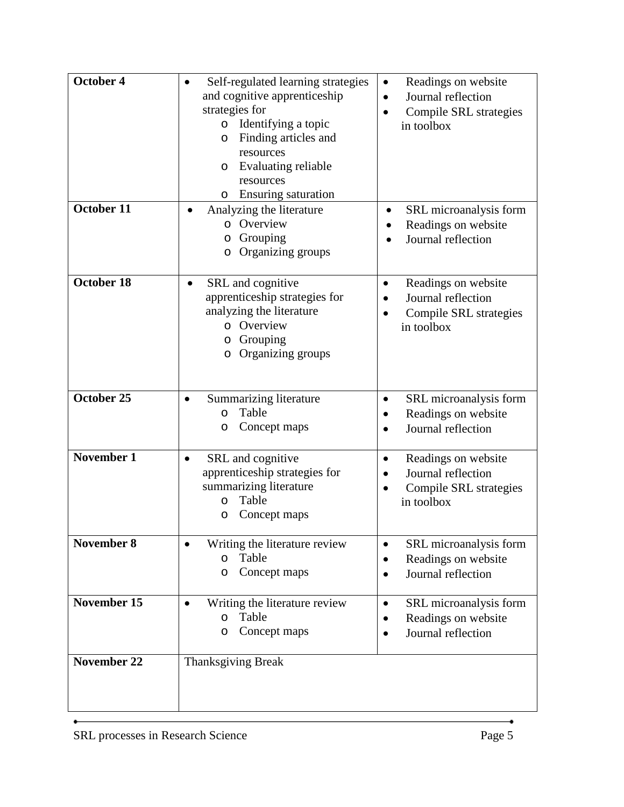| October 4<br>October 11 | Self-regulated learning strategies<br>$\bullet$<br>and cognitive apprenticeship<br>strategies for<br>o Identifying a topic<br>Finding articles and<br>O<br>resources<br>Evaluating reliable<br>O<br>resources<br><b>Ensuring saturation</b><br>O<br>Analyzing the literature<br>$\bullet$<br>o Overview | Readings on website<br>$\bullet$<br>Journal reflection<br>٠<br>Compile SRL strategies<br>$\bullet$<br>in toolbox<br>SRL microanalysis form<br>$\bullet$ |  |
|-------------------------|---------------------------------------------------------------------------------------------------------------------------------------------------------------------------------------------------------------------------------------------------------------------------------------------------------|---------------------------------------------------------------------------------------------------------------------------------------------------------|--|
|                         | Grouping<br>O<br>o Organizing groups                                                                                                                                                                                                                                                                    | Readings on website<br>Journal reflection                                                                                                               |  |
| October 18              | SRL and cognitive<br>$\bullet$<br>apprenticeship strategies for<br>analyzing the literature<br>o Overview<br>Grouping<br>O<br>Organizing groups<br>O                                                                                                                                                    | Readings on website<br>Journal reflection<br>Compile SRL strategies<br>$\bullet$<br>in toolbox                                                          |  |
| October 25              | Summarizing literature<br>$\bullet$<br>Table<br>$\circ$<br>Concept maps<br>O                                                                                                                                                                                                                            | SRL microanalysis form<br>$\bullet$<br>Readings on website<br>$\bullet$<br>Journal reflection                                                           |  |
| <b>November 1</b>       | SRL and cognitive<br>$\bullet$<br>apprenticeship strategies for<br>summarizing literature<br>Table<br>O<br>Concept maps<br>O                                                                                                                                                                            | Readings on website<br>$\bullet$<br>Journal reflection<br>$\bullet$<br>Compile SRL strategies<br>in toolbox                                             |  |
| <b>November 8</b>       | Writing the literature review<br>$\bullet$<br>Table<br>O<br>Concept maps<br>O                                                                                                                                                                                                                           | SRL microanalysis form<br>$\bullet$<br>Readings on website<br>Journal reflection                                                                        |  |
| November 15             | Writing the literature review<br>Table<br>$\circ$<br>Concept maps<br>O                                                                                                                                                                                                                                  | SRL microanalysis form<br>$\bullet$<br>Readings on website<br>Journal reflection                                                                        |  |
| <b>November 22</b>      | <b>Thanksgiving Break</b>                                                                                                                                                                                                                                                                               |                                                                                                                                                         |  |

٠

 $\bullet$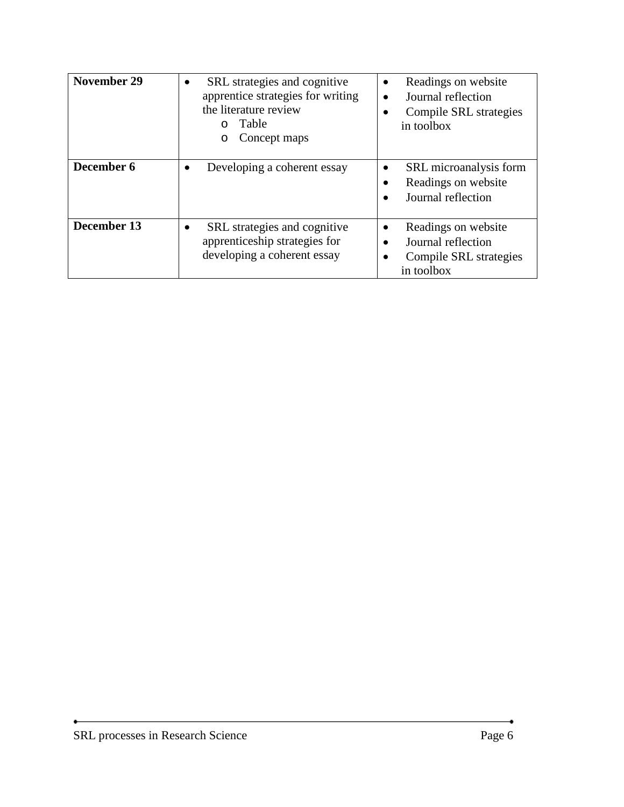| <b>November 29</b> | SRL strategies and cognitive<br>$\bullet$<br>apprentice strategies for writing<br>the literature review<br>Table<br>Concept maps | Readings on website<br>$\bullet$<br>Journal reflection<br>Compile SRL strategies<br>in toolbox |
|--------------------|----------------------------------------------------------------------------------------------------------------------------------|------------------------------------------------------------------------------------------------|
| December 6         | Developing a coherent essay<br>٠                                                                                                 | SRL microanalysis form<br>Readings on website<br>Journal reflection                            |
| December 13        | SRL strategies and cognitive<br>apprenticeship strategies for<br>developing a coherent essay                                     | Readings on website<br>Journal reflection<br>Compile SRL strategies<br>in toolbox              |

ė